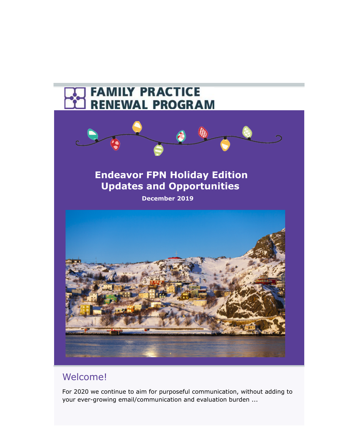

# Welcome!

For 2020 we continue to aim for purposeful communication, without adding to your ever-growing email/communication and evaluation burden ...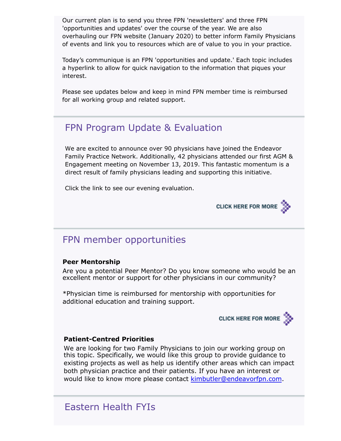Our current plan is to send you three FPN 'newsletters' and three FPN 'opportunities and updates' over the course of the year. We are also overhauling our FPN website (January 2020) to better inform Family Physicians of events and link you to resources which are of value to you in your practice.

Today's communique is an FPN 'opportunities and update.' Each topic includes a hyperlink to allow for quick navigation to the information that piques your interest.

Please see updates below and keep in mind FPN member time is reimbursed for all working group and related support.

## FPN Program Update & Evaluation

We are excited to announce over 90 physicians have joined the Endeavor Family Practice Network. Additionally, 42 physicians attended our first AGM & Engagement meeting on November 13, 2019. This fantastic momentum is a direct result of family physicians leading and supporting this initiative.

Click the link to see our evening evaluation.



## FPN member opportunities

### **Peer Mentorship**

Are you a potential Peer Mentor? Do you know someone who would be an excellent mentor or support for other physicians in our community?

\*Physician time is reimbursed for mentorship with opportunities for additional education and training support.



### **Patient-Centred Priorities**

We are looking for two Family Physicians to join our working group on this topic. Specifically, we would like this group to provide guidance to existing projects as well as help us identify other areas which can impact both physician practice and their patients. If you have an interest or would like to know more please contact k[imbutler@endeavorfpn.com.](mailto:kimbutler@endeavorfpn.com?subject=Endeavor%20FPN%20Patient-Centred%20Priorities)

## Eastern Health FYIs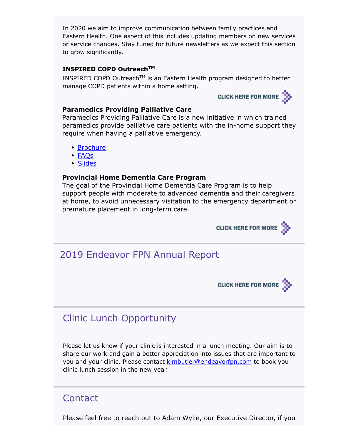In 2020 we aim to improve communication between family practices and Eastern Health. One aspect of this includes updating members on new services or service changes. Stay tuned for future newsletters as we expect this section to grow significantly.

### **INSPIRED COPD OutreachTM**

INSPIRED COPD Outreach<sup>TM</sup> is an Eastern Health program designed to better manage COPD patients within a home setting.

## CLICK HERE FOR MORE

#### **Paramedics Providing Palliative Care**

Paramedics Providing Palliative Care is a new initiative in which trained paramedics provide palliative care patients with the in-home support they require when having a palliative emergency.

- [Brochure](http://familypracticerenewalnl.ca/wp-content/uploads/2019/12/Paramedics_Providing_Palliative_Care_Brochure.pdf)
- [FAQs](http://familypracticerenewalnl.ca/wp-content/uploads/2019/12/PPPC_FAQ_Final_Prescribers.pdf)
- [Slides](http://familypracticerenewalnl.ca/wp-content/uploads/2019/12/Paramedics_in_Palliative_Care-GP-Information_December_2019.pdf)

### **Provincial Home Dementia Care Program**

The goal of the Provincial Home Dementia Care Program is to help support people with moderate to advanced dementia and their caregivers at home, to avoid unnecessary visitation to the emergency department or premature placement in long-term care.



## 2019 Endeavor FPN Annual Report



## Clinic Lunch Opportunity

Please let us know if your clinic is interested in a lunch meeting. Our aim is to share our work and gain a better appreciation into issues that are important to you and your clinic. Please contact k[imbutler@endeavorfpn.com](mailto:kimbutler@endeavorfpn.com?subject=Clinic%20Lunch%20Opportuniy) to book you clinic lunch session in the new year.

### **Contact**

Please feel free to reach out to Adam Wylie, our Executive Director, if you